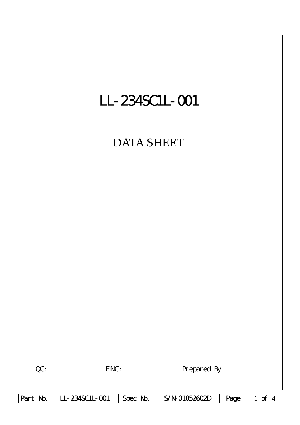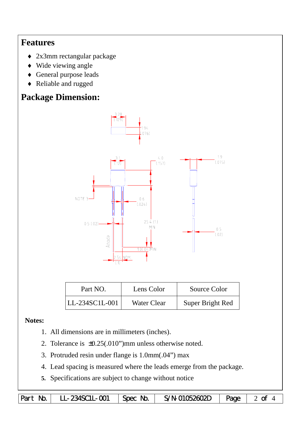## **Features**

- ♦ 2x3mm rectangular package
- ♦ Wide viewing angle
- ♦ General purpose leads
- ♦ Reliable and rugged

# **Package Dimension:**



| Part NO.       | Lens Color         | Source Color     |  |  |
|----------------|--------------------|------------------|--|--|
| LL-234SC1L-001 | <b>Water Clear</b> | Super Bright Red |  |  |

### **Notes:**

- 1. All dimensions are in millimeters (inches).
- 2. Tolerance is  $\pm 0.25(.010")$  mm unless otherwise noted.
- 3. Protruded resin under flange is 1.0mm(.04") max
- 4. Lead spacing is measured where the leads emerge from the package.
- **5.** Specifications are subject to change without notice

Part No. | LL-234SC1L-001 | Spec No. | S/N-01052602D | Page | 2 of 4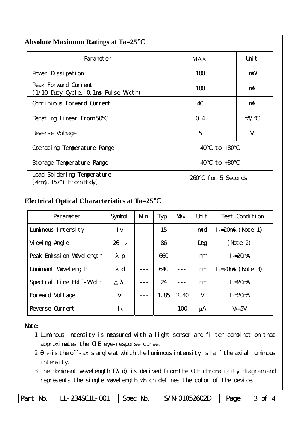| <b>Absolute Maximum Ratings at Ta=25</b> |  |
|------------------------------------------|--|
|                                          |  |

| Parameter                                                    | MAX.           | Uni t          |  |  |
|--------------------------------------------------------------|----------------|----------------|--|--|
| Pover Dissipation                                            | 100            | mW             |  |  |
| Peak Forward Current<br>(1/10 Duty Cycle, 0.1ms Pulse Width) | 100            | mA             |  |  |
| Continuous Forward Current                                   | 40             | mA             |  |  |
| Derating Linear From 50                                      | Q.4            | $m\mathcal{N}$ |  |  |
| Reverse Vol tage                                             | 5              | V              |  |  |
| Operating Temperature Range                                  | to +80<br>- 40 |                |  |  |
| Storage Temperature Range                                    | $-40$ to $+80$ |                |  |  |
| Lead Sol dering Temperature<br>$4mm(.157")$ From Body        | 260.           | for 5 Seconds  |  |  |

#### **Electrical Optical Characteristics at Ta=25**℃

| Parameter                   | Symbol               | Mn. | Typ. | Max. | Uni t | Test Condition      |
|-----------------------------|----------------------|-----|------|------|-------|---------------------|
| Luminous Intensity          | l v                  |     | 15   |      | mcd   | $I = 20mA$ (Note 1) |
| Vi ewing Angl e             | $\mathcal{P}$<br>1/2 |     | 86   |      | Deg   | (Note 2)            |
| Peak Emission Wavelength    | $\mathbf{p}$         |     | 660  |      | nm    | $I_F = 20$ mA       |
| Dominant Wavelength         | d                    |     | 640  |      | nm    | $I = 20mA$ (Note 3) |
| Line Half-Width<br>Spectral |                      |     | 24   |      | nm    | $I_F = 20$ mA       |
| Forward Voltage             | $V_F$                |     | 1.85 | 2.40 | V     | $I_F=20$ mA         |
| Reverse Current             | I R                  |     |      | 100  | μA    | $V_R = 5V$          |

#### Note:

- 1.Luminous intensity is measured with a light sensor and filter combination that approximates the CIE eye-response curve.
- $2 1/2$  is the off-axis angle at which the luminous intensity is half the axial luminous i ntensity.
- 3.The dominant wavelength ( d) is derived from the CIE chromaticity diagram and represents the single wavelength which defines the color of the device.

Part No. | LL-234SC1L-001 | Spec No. | S/N-01052602D | Page | 3 of 4